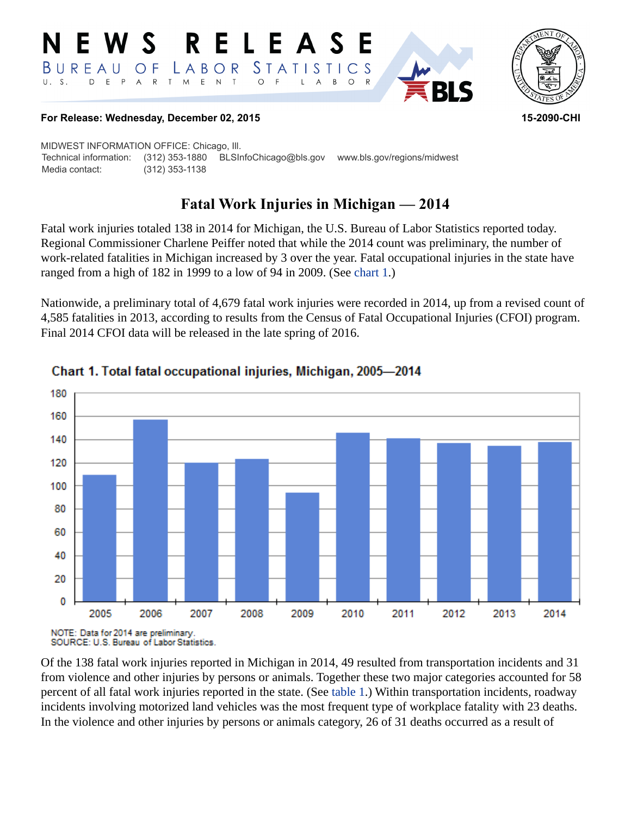



### **For Release: Wednesday, December 02, 2015 15-2090-CHI**

MIDWEST INFORMATION OFFICE: Chicago, Ill. Technical information: (312) 353-1880 BLSInfoChicago@bls.gov www.bls.gov/regions/midwest Media contact: (312) 353-1138

# **Fatal Work Injuries in Michigan — 2014**

Fatal work injuries totaled 138 in 2014 for Michigan, the U.S. Bureau of Labor Statistics reported today. Regional Commissioner Charlene Peiffer noted that while the 2014 count was preliminary, the number of work-related fatalities in Michigan increased by 3 over the year. Fatal occupational injuries in the state have ranged from a high of 182 in 1999 to a low of 94 in 2009. (See [chart 1.](#page-0-0))

Nationwide, a preliminary total of 4,679 fatal work injuries were recorded in 2014, up from a revised count of 4,585 fatalities in 2013, according to results from the Census of Fatal Occupational Injuries (CFOI) program. Final 2014 CFOI data will be released in the late spring of 2016.



### <span id="page-0-0"></span>Chart 1. Total fatal occupational injuries, Michigan, 2005-2014

Of the 138 fatal work injuries reported in Michigan in 2014, 49 resulted from transportation incidents and 31 from violence and other injuries by persons or animals. Together these two major categories accounted for 58 percent of all fatal work injuries reported in the state. (See [table 1](#page-3-0).) Within transportation incidents, roadway incidents involving motorized land vehicles was the most frequent type of workplace fatality with 23 deaths. In the violence and other injuries by persons or animals category, 26 of 31 deaths occurred as a result of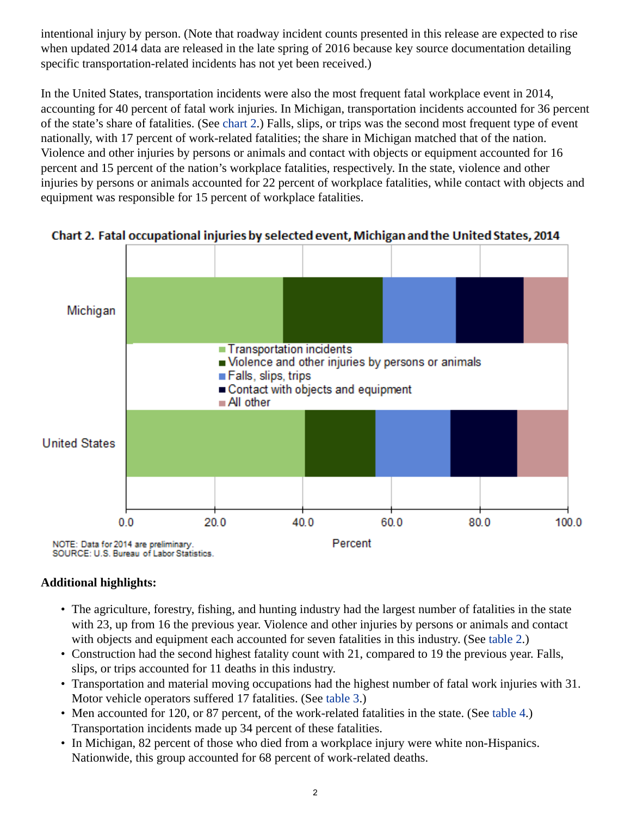intentional injury by person. (Note that roadway incident counts presented in this release are expected to rise when updated 2014 data are released in the late spring of 2016 because key source documentation detailing specific transportation-related incidents has not yet been received.)

In the United States, transportation incidents were also the most frequent fatal workplace event in 2014, accounting for 40 percent of fatal work injuries. In Michigan, transportation incidents accounted for 36 percent of the state's share of fatalities. (See [chart 2](#page-1-0).) Falls, slips, or trips was the second most frequent type of event nationally, with 17 percent of work-related fatalities; the share in Michigan matched that of the nation. Violence and other injuries by persons or animals and contact with objects or equipment accounted for 16 percent and 15 percent of the nation's workplace fatalities, respectively. In the state, violence and other injuries by persons or animals accounted for 22 percent of workplace fatalities, while contact with objects and equipment was responsible for 15 percent of workplace fatalities.



<span id="page-1-0"></span>Chart 2. Fatal occupational injuries by selected event, Michigan and the United States, 2014

### **Additional highlights:**

- The agriculture, forestry, fishing, and hunting industry had the largest number of fatalities in the state with 23, up from 16 the previous year. Violence and other injuries by persons or animals and contact with objects and equipment each accounted for seven fatalities in this industry. (See [table 2.](#page-4-0))
- Construction had the second highest fatality count with 21, compared to 19 the previous year. Falls, slips, or trips accounted for 11 deaths in this industry.
- Transportation and material moving occupations had the highest number of fatal work injuries with 31. Motor vehicle operators suffered 17 fatalities. (See [table 3.](#page-5-0))
- Men accounted for 120, or 87 percent, of the work-related fatalities in the state. (See [table 4](#page-6-0).) Transportation incidents made up 34 percent of these fatalities.
- In Michigan, 82 percent of those who died from a workplace injury were white non-Hispanics. Nationwide, this group accounted for 68 percent of work-related deaths.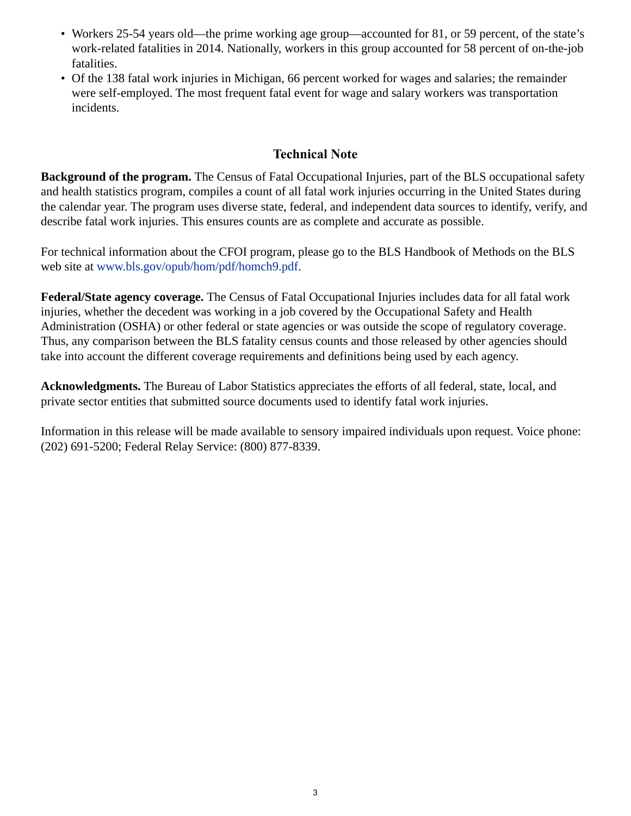- Workers 25-54 years old—the prime working age group—accounted for 81, or 59 percent, of the state's work-related fatalities in 2014. Nationally, workers in this group accounted for 58 percent of on-the-job fatalities.
- Of the 138 fatal work injuries in Michigan, 66 percent worked for wages and salaries; the remainder were self-employed. The most frequent fatal event for wage and salary workers was transportation incidents.

## **Technical Note**

**Background of the program.** The Census of Fatal Occupational Injuries, part of the BLS occupational safety and health statistics program, compiles a count of all fatal work injuries occurring in the United States during the calendar year. The program uses diverse state, federal, and independent data sources to identify, verify, and describe fatal work injuries. This ensures counts are as complete and accurate as possible.

For technical information about the CFOI program, please go to the BLS Handbook of Methods on the BLS web site at [www.bls.gov/opub/hom/pdf/homch9.pdf](https://www.bls.gov/opub/hom/pdf/homch9.pdf).

**Federal/State agency coverage.** The Census of Fatal Occupational Injuries includes data for all fatal work injuries, whether the decedent was working in a job covered by the Occupational Safety and Health Administration (OSHA) or other federal or state agencies or was outside the scope of regulatory coverage. Thus, any comparison between the BLS fatality census counts and those released by other agencies should take into account the different coverage requirements and definitions being used by each agency.

**Acknowledgments.** The Bureau of Labor Statistics appreciates the efforts of all federal, state, local, and private sector entities that submitted source documents used to identify fatal work injuries.

Information in this release will be made available to sensory impaired individuals upon request. Voice phone: (202) 691-5200; Federal Relay Service: (800) 877-8339.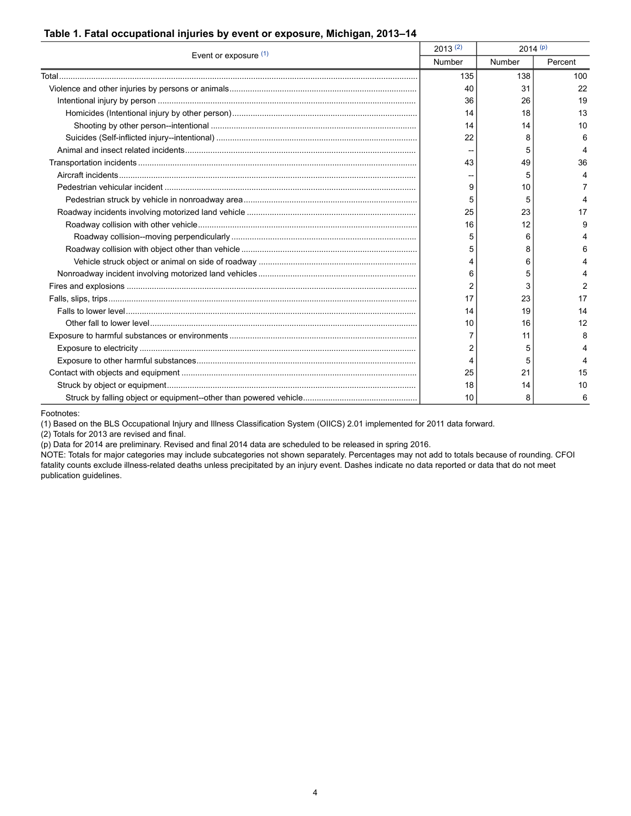#### <span id="page-3-0"></span>**Table 1. Fatal occupational injuries by event or exposure, Michigan, 2013–14**

| Event or exposure $(1)$ | 2013(2) | $2014^{(p)}$ |         |
|-------------------------|---------|--------------|---------|
|                         | Number  | Number       | Percent |
|                         | 135     | 138          | 100     |
|                         | 40      | 31           | 22      |
|                         | 36      | 26           | 19      |
|                         | 14      | 18           | 13      |
|                         | 14      | 14           | 10      |
|                         | 22      | 8            | 6       |
|                         |         | 5            |         |
|                         | 43      | 49           | 36      |
|                         |         | 5            |         |
|                         | 9       | 10           |         |
|                         | 5       | 5            |         |
|                         | 25      | 23           | 17      |
|                         | 16      | 12           | g       |
|                         | 5       | 6            |         |
|                         | 5       | 8            |         |
|                         |         | 6            |         |
|                         | 6       | 5            |         |
|                         | 2       | 3            | 2       |
|                         | 17      | 23           | 17      |
|                         | 14      | 19           | 14      |
|                         | 10      | 16           | 12      |
|                         |         | 11           | 8       |
|                         |         | 5            |         |
|                         | 4       | 5            |         |
|                         | 25      | 21           | 15      |
|                         | 18      | 14           | 10      |
|                         | 10      | 8            | 6       |

Footnotes:

<span id="page-3-1"></span>(1) Based on the BLS Occupational Injury and Illness Classification System (OIICS) 2.01 implemented for 2011 data forward.

<span id="page-3-2"></span>(2) Totals for 2013 are revised and final.

<span id="page-3-3"></span>(p) Data for 2014 are preliminary. Revised and final 2014 data are scheduled to be released in spring 2016.

NOTE: Totals for major categories may include subcategories not shown separately. Percentages may not add to totals because of rounding. CFOI fatality counts exclude illness-related deaths unless precipitated by an injury event. Dashes indicate no data reported or data that do not meet publication guidelines.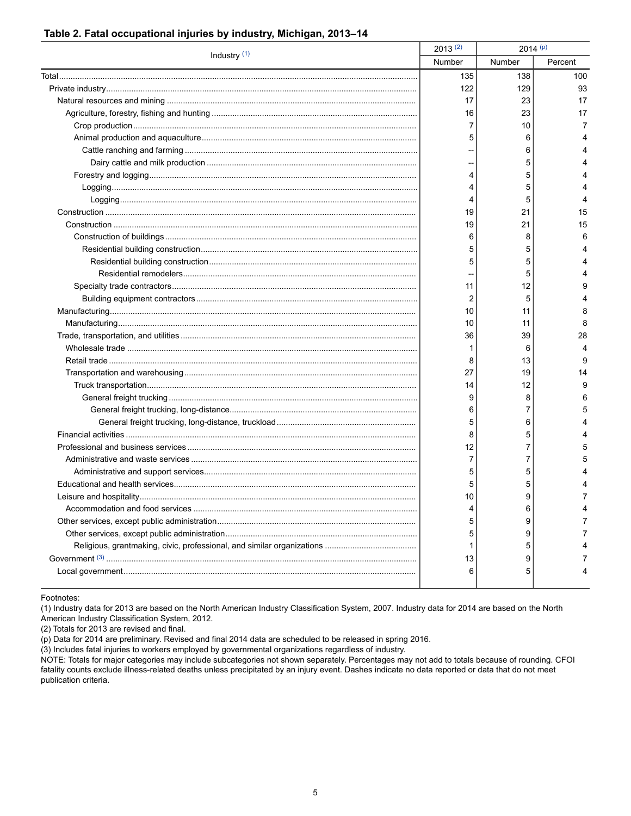|                | $2013^{(2)}$ | $2014^{(p)}$ |         |
|----------------|--------------|--------------|---------|
| Industry $(1)$ | Number       | Number       | Percent |
|                | 135          | 138          | 100     |
|                | 122          | 129          | 93      |
|                | 17           | 23           | 17      |
|                | 16           | 23           | 17      |
|                | 7            | 10           | 7       |
|                | 5            | 6            | 4       |
|                |              | 6            |         |
|                |              | 5            |         |
|                | 4            | 5            |         |
|                | 4            | 5            |         |
|                | 4            | 5            | 4       |
|                | 19           | 21           | 15      |
|                | 19           | 21           | 15      |
|                | 6            | 8            | 6       |
|                | 5            | 5            | 4       |
|                | 5            | 5            |         |
|                |              | 5            | 4       |
|                | 11           | 12           | 9       |
|                | 2            | 5            | 4       |
|                | 10           | 11           | 8       |
|                | 10           | 11           | 8       |
|                | 36           | 39           | 28      |
|                | 1            | 6            | 4       |
|                | 8            | 13           | 9       |
|                | 27           | 19           | 14      |
|                | 14           | 12           | 9       |
|                | 9            | 8            | 6       |
|                | 6            | 7            | 5       |
|                | 5            | 6            | 4       |
|                | 8            | 5            | 4       |
|                | 12           | 7            | 5       |
|                | 7            | 7            | 5       |
|                | 5            | 5            |         |
|                | 5            | 5            |         |
|                | 10           | 9            | 7       |
|                |              | 6            |         |
|                | 5            | 9            |         |
|                | 5            | 9            |         |
|                | 1            | 5            |         |
|                | 13           | 9            |         |
|                | 6            | 5            |         |
|                |              |              |         |

#### <span id="page-4-0"></span>Table 2. Fatal occupational injuries by industry, Michigan, 2013-14

Footnotes:

<span id="page-4-1"></span>(1) Industry data for 2013 are based on the North American Industry Classification System, 2007. Industry data for 2014 are based on the North American Industry Classification System, 2012.

<span id="page-4-2"></span>(2) Totals for 2013 are revised and final.

<span id="page-4-3"></span>(p) Data for 2014 are preliminary. Revised and final 2014 data are scheduled to be released in spring 2016.

<span id="page-4-4"></span>(3) Includes fatal injuries to workers employed by governmental organizations regardless of industry.

NOTE: Totals for major categories may include subcategories not shown separately. Percentages may not add to totals because of rounding. CFOI fatality counts exclude illness-related deaths unless precipitated by an injury event. Dashes indicate no data reported or data that do not meet publication criteria.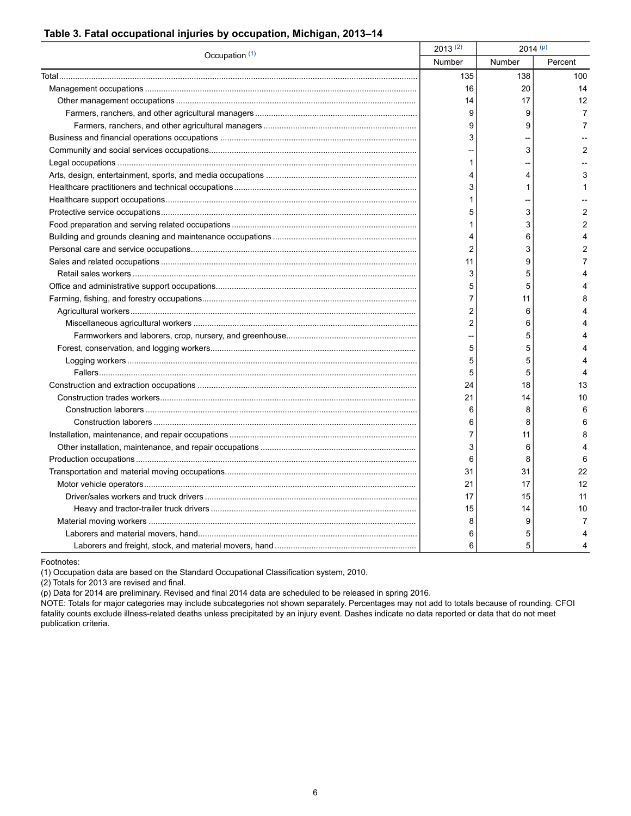| Occupation (1) | 2013(2)        | $2014^{(p)}$ |                |
|----------------|----------------|--------------|----------------|
|                | Number         | Number       | Percent        |
|                | 135            | 138          | 100            |
|                | 16             | 20           | 14             |
|                | 14             | 17           | 12             |
|                | 9              | 9            | 7              |
|                | 9              | 9            | 7              |
|                | 3              |              |                |
|                |                | 3            | $\overline{2}$ |
|                | 1              |              |                |
|                | 4              | 4            | 3              |
|                | 3              | 1            |                |
|                | 1              |              |                |
|                | 5              | 3            | $\overline{2}$ |
|                | 1              | 3            | $\overline{2}$ |
|                | 4              | 6            | 4              |
|                | $\overline{2}$ | 3            | $\overline{2}$ |
|                | 11             | 9            | 7              |
|                | 3              | 5            | 4              |
|                | 5              | 5            | 4              |
|                | 7              | 11           | 8              |
|                | 2              | 6            |                |
|                | 2              | 6            |                |
|                |                | 5            |                |
|                | 5              | 5            | 4              |
|                | 5              | 5            |                |
|                | 5              | 5            | 4              |
|                | 24             | 18           | 13             |
|                | 21             | 14           | 10             |
|                | 6              | 8            | 6              |
|                | 6              | 8            | 6              |
|                | 7              | 11           | 8              |
|                | 3              | 6            | 4              |
|                | 6              | 8            | 6              |
|                | 31             | 31           | 22             |
|                | 21             | 17           | 12             |
|                | 17             | 15           | 11             |
|                | 15             | 14           | 10             |
|                | 8              | 9            | 7              |
|                | 6              | 5            |                |
|                | 6              | 5            |                |

### <span id="page-5-0"></span>**Table 3. Fatal occupational injuries by occupation, Michigan, 2013–14**

Footnotes:

<span id="page-5-1"></span>(1) Occupation data are based on the Standard Occupational Classification system, 2010.

<span id="page-5-2"></span>(2) Totals for 2013 are revised and final.

<span id="page-5-3"></span>(p) Data for 2014 are preliminary. Revised and final 2014 data are scheduled to be released in spring 2016.

NOTE: Totals for major categories may include subcategories not shown separately. Percentages may not add to totals because of rounding. CFOI fatality counts exclude illness-related deaths unless precipitated by an injury event. Dashes indicate no data reported or data that do not meet publication criteria.